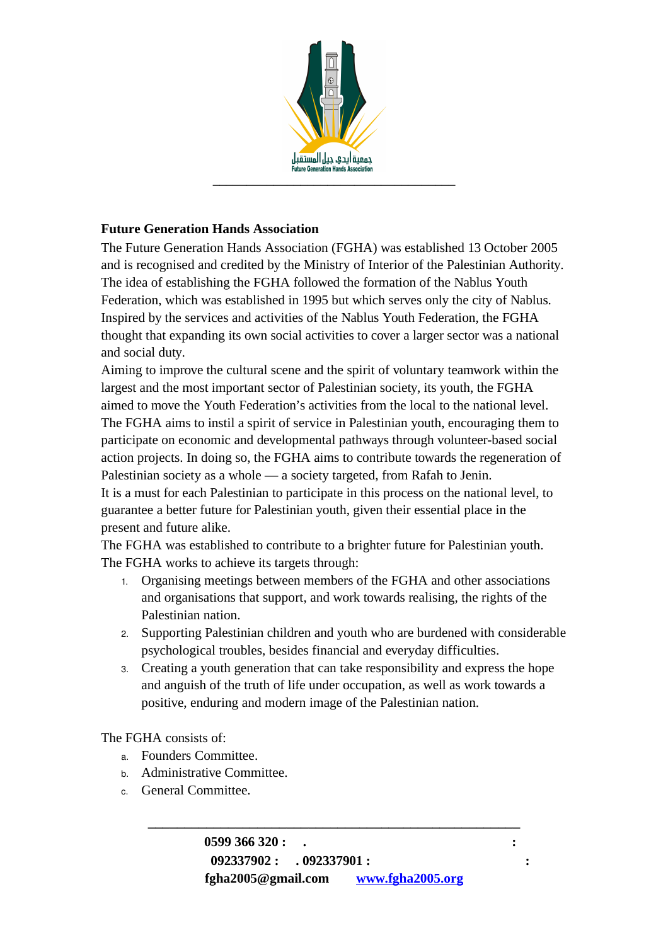

## **Future Generation Hands Association**

The Future Generation Hands Association (FGHA) was established 13 October 2005 and is recognised and credited by the Ministry of Interior of the Palestinian Authority. The idea of establishing the FGHA followed the formation of the Nablus Youth Federation, which was established in 1995 but which serves only the city of Nablus. Inspired by the services and activities of the Nablus Youth Federation, the FGHA thought that expanding its own social activities to cover a larger sector was a national and social duty.

Aiming to improve the cultural scene and the spirit of voluntary teamwork within the largest and the most important sector of Palestinian society, its youth, the FGHA aimed to move the Youth Federation's activities from the local to the national level. The FGHA aims to instil a spirit of service in Palestinian youth, encouraging them to participate on economic and developmental pathways through volunteer-based social action projects. In doing so, the FGHA aims to contribute towards the regeneration of Palestinian society as a whole — a society targeted, from Rafah to Jenin. It is a must for each Palestinian to participate in this process on the national level, to

guarantee a better future for Palestinian youth, given their essential place in the present and future alike.

The FGHA was established to contribute to a brighter future for Palestinian youth. The FGHA works to achieve its targets through:

- 1. Organising meetings between members of the FGHA and other associations and organisations that support, and work towards realising, the rights of the Palestinian nation.
- 2. Supporting Palestinian children and youth who are burdened with considerable psychological troubles, besides financial and everyday difficulties.
- 3. Creating a youth generation that can take responsibility and express the hope and anguish of the truth of life under occupation, as well as work towards a positive, enduring and modern image of the Palestinian nation.

The FGHA consists of:

- a. Founders Committee.
- b. Administrative Committee.
- c. General Committee.

**\_\_\_\_\_\_\_\_\_\_\_\_\_\_\_\_\_\_\_\_\_\_\_\_\_\_\_\_\_\_\_\_\_\_\_\_\_\_\_\_\_\_\_\_\_\_\_\_\_\_\_**